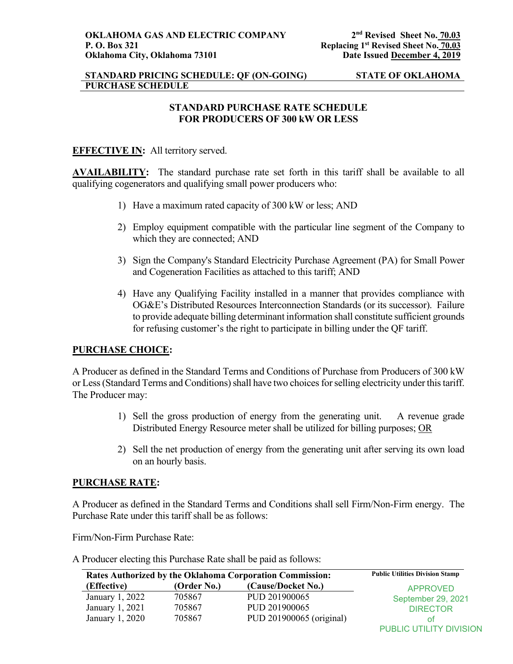## **STANDARD PRICING SCHEDULE: QF (ON-GOING) STATE OF OKLAHOMA PURCHASE SCHEDULE**

# **STANDARD PURCHASE RATE SCHEDULE FOR PRODUCERS OF 300 kW OR LESS**

## **EFFECTIVE IN:** All territory served.

**AVAILABILITY:** The standard purchase rate set forth in this tariff shall be available to all qualifying cogenerators and qualifying small power producers who:

- 1) Have a maximum rated capacity of 300 kW or less; AND
- 2) Employ equipment compatible with the particular line segment of the Company to which they are connected; AND
- 3) Sign the Company's Standard Electricity Purchase Agreement (PA) for Small Power and Cogeneration Facilities as attached to this tariff; AND
- 4) Have any Qualifying Facility installed in a manner that provides compliance with OG&E's Distributed Resources Interconnection Standards (or its successor). Failure to provide adequate billing determinant information shall constitute sufficient grounds for refusing customer's the right to participate in billing under the QF tariff.

## **PURCHASE CHOICE:**

A Producer as defined in the Standard Terms and Conditions of Purchase from Producers of 300 kW or Less (Standard Terms and Conditions) shall have two choices for selling electricity under this tariff. The Producer may:

- 1) Sell the gross production of energy from the generating unit. A revenue grade Distributed Energy Resource meter shall be utilized for billing purposes; OR
- 2) Sell the net production of energy from the generating unit after serving its own load on an hourly basis.

### **PURCHASE RATE:**

A Producer as defined in the Standard Terms and Conditions shall sell Firm/Non-Firm energy. The Purchase Rate under this tariff shall be as follows:

Firm/Non-Firm Purchase Rate:

A Producer electing this Purchase Rate shall be paid as follows:

| Rates Authorized by the Oklahoma Corporation Commission: |             |                          | <b>Public Utilities Division Stamp</b> |
|----------------------------------------------------------|-------------|--------------------------|----------------------------------------|
| (Effective)                                              | (Order No.) | (Cause/Docket No.)       | APPROVED                               |
| January 1, 2022                                          | 705867      | PUD 201900065            | September 29, 2021                     |
| January 1, 2021                                          | 705867      | PUD 201900065            | <b>DIRECTOR</b>                        |
| January 1, 2020                                          | 705867      | PUD 201900065 (original) | ΩŤ                                     |
|                                                          |             |                          | <b>PUBLIC UTILITY DIVISION</b>         |